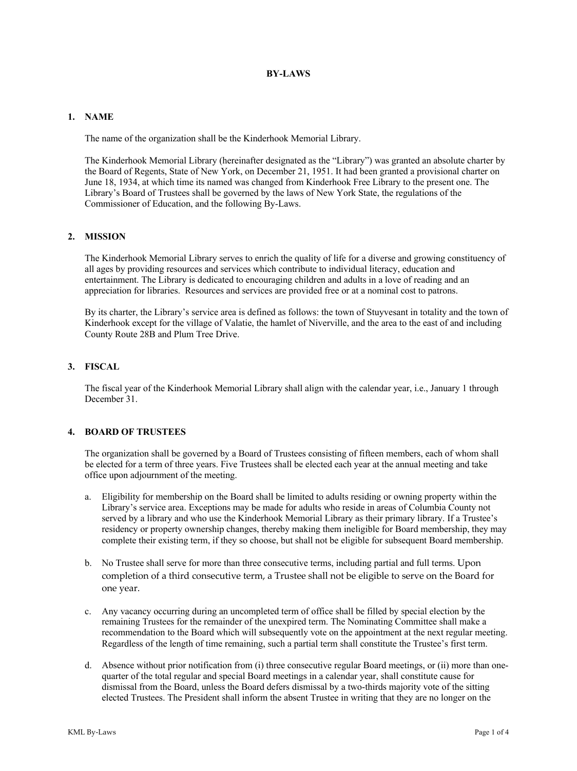# **BY-LAWS**

### **1. NAME**

The name of the organization shall be the Kinderhook Memorial Library.

The Kinderhook Memorial Library (hereinafter designated as the "Library") was granted an absolute charter by the Board of Regents, State of New York, on December 21, 1951. It had been granted a provisional charter on June 18, 1934, at which time its named was changed from Kinderhook Free Library to the present one. The Library's Board of Trustees shall be governed by the laws of New York State, the regulations of the Commissioner of Education, and the following By-Laws.

# **2. MISSION**

The Kinderhook Memorial Library serves to enrich the quality of life for a diverse and growing constituency of all ages by providing resources and services which contribute to individual literacy, education and entertainment. The Library is dedicated to encouraging children and adults in a love of reading and an appreciation for libraries. Resources and services are provided free or at a nominal cost to patrons.

By its charter, the Library's service area is defined as follows: the town of Stuyvesant in totality and the town of Kinderhook except for the village of Valatie, the hamlet of Niverville, and the area to the east of and including County Route 28B and Plum Tree Drive.

#### **3. FISCAL**

The fiscal year of the Kinderhook Memorial Library shall align with the calendar year, i.e., January 1 through December 31.

# **4. BOARD OF TRUSTEES**

The organization shall be governed by a Board of Trustees consisting of fifteen members, each of whom shall be elected for a term of three years. Five Trustees shall be elected each year at the annual meeting and take office upon adjournment of the meeting.

- a. Eligibility for membership on the Board shall be limited to adults residing or owning property within the Library's service area. Exceptions may be made for adults who reside in areas of Columbia County not served by a library and who use the Kinderhook Memorial Library as their primary library. If a Trustee's residency or property ownership changes, thereby making them ineligible for Board membership, they may complete their existing term, if they so choose, but shall not be eligible for subsequent Board membership.
- b. No Trustee shall serve for more than three consecutive terms, including partial and full terms. Upon completion of a third consecutive term, a Trustee shall not be eligible to serve on the Board for one year.
- c. Any vacancy occurring during an uncompleted term of office shall be filled by special election by the remaining Trustees for the remainder of the unexpired term. The Nominating Committee shall make a recommendation to the Board which will subsequently vote on the appointment at the next regular meeting. Regardless of the length of time remaining, such a partial term shall constitute the Trustee's first term.
- d. Absence without prior notification from (i) three consecutive regular Board meetings, or (ii) more than onequarter of the total regular and special Board meetings in a calendar year, shall constitute cause for dismissal from the Board, unless the Board defers dismissal by a two-thirds majority vote of the sitting elected Trustees. The President shall inform the absent Trustee in writing that they are no longer on the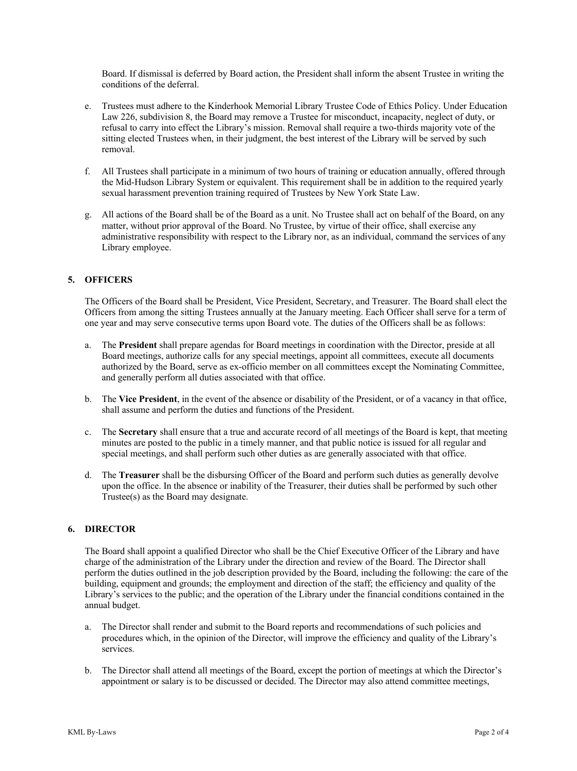Board. If dismissal is deferred by Board action, the President shall inform the absent Trustee in writing the conditions of the deferral.

- e. Trustees must adhere to the Kinderhook Memorial Library Trustee Code of Ethics Policy. Under Education Law 226, subdivision 8, the Board may remove a Trustee for misconduct, incapacity, neglect of duty, or refusal to carry into effect the Library's mission. Removal shall require a two-thirds majority vote of the sitting elected Trustees when, in their judgment, the best interest of the Library will be served by such removal.
- f. All Trustees shall participate in a minimum of two hours of training or education annually, offered through the Mid-Hudson Library System or equivalent. This requirement shall be in addition to the required yearly sexual harassment prevention training required of Trustees by New York State Law.
- g. All actions of the Board shall be of the Board as a unit. No Trustee shall act on behalf of the Board, on any matter, without prior approval of the Board. No Trustee, by virtue of their office, shall exercise any administrative responsibility with respect to the Library nor, as an individual, command the services of any Library employee.

### **5. OFFICERS**

The Officers of the Board shall be President, Vice President, Secretary, and Treasurer. The Board shall elect the Officers from among the sitting Trustees annually at the January meeting. Each Officer shall serve for a term of one year and may serve consecutive terms upon Board vote. The duties of the Officers shall be as follows:

- a. The **President** shall prepare agendas for Board meetings in coordination with the Director, preside at all Board meetings, authorize calls for any special meetings, appoint all committees, execute all documents authorized by the Board, serve as ex-officio member on all committees except the Nominating Committee, and generally perform all duties associated with that office.
- b. The **Vice President**, in the event of the absence or disability of the President, or of a vacancy in that office, shall assume and perform the duties and functions of the President.
- c. The **Secretary** shall ensure that a true and accurate record of all meetings of the Board is kept, that meeting minutes are posted to the public in a timely manner, and that public notice is issued for all regular and special meetings, and shall perform such other duties as are generally associated with that office.
- d. The **Treasurer** shall be the disbursing Officer of the Board and perform such duties as generally devolve upon the office. In the absence or inability of the Treasurer, their duties shall be performed by such other Trustee(s) as the Board may designate.

#### **6. DIRECTOR**

The Board shall appoint a qualified Director who shall be the Chief Executive Officer of the Library and have charge of the administration of the Library under the direction and review of the Board. The Director shall perform the duties outlined in the job description provided by the Board, including the following: the care of the building, equipment and grounds; the employment and direction of the staff; the efficiency and quality of the Library's services to the public; and the operation of the Library under the financial conditions contained in the annual budget.

- a. The Director shall render and submit to the Board reports and recommendations of such policies and procedures which, in the opinion of the Director, will improve the efficiency and quality of the Library's services.
- b. The Director shall attend all meetings of the Board, except the portion of meetings at which the Director's appointment or salary is to be discussed or decided. The Director may also attend committee meetings,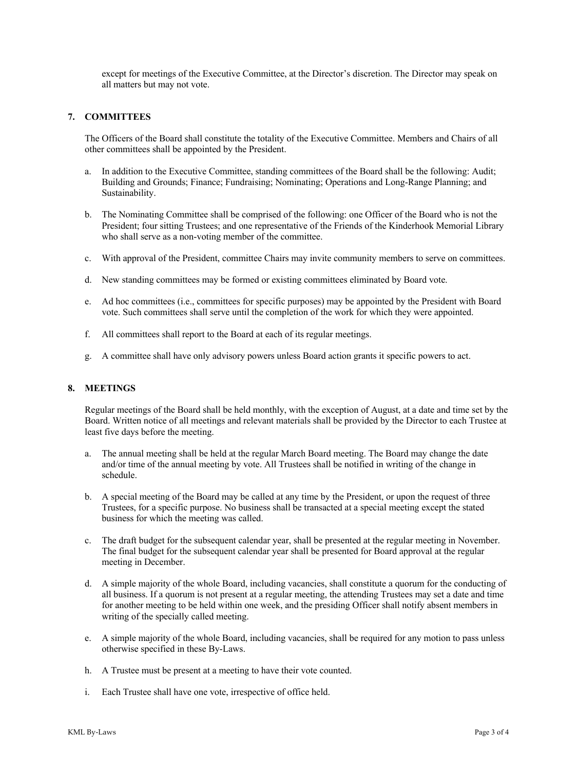except for meetings of the Executive Committee, at the Director's discretion. The Director may speak on all matters but may not vote.

# **7. COMMITTEES**

The Officers of the Board shall constitute the totality of the Executive Committee. Members and Chairs of all other committees shall be appointed by the President.

- a. In addition to the Executive Committee, standing committees of the Board shall be the following: Audit; Building and Grounds; Finance; Fundraising; Nominating; Operations and Long-Range Planning; and Sustainability.
- b. The Nominating Committee shall be comprised of the following: one Officer of the Board who is not the President; four sitting Trustees; and one representative of the Friends of the Kinderhook Memorial Library who shall serve as a non-voting member of the committee.
- c. With approval of the President, committee Chairs may invite community members to serve on committees.
- d. New standing committees may be formed or existing committees eliminated by Board vote.
- e. Ad hoc committees (i.e., committees for specific purposes) may be appointed by the President with Board vote. Such committees shall serve until the completion of the work for which they were appointed.
- f. All committees shall report to the Board at each of its regular meetings.
- g. A committee shall have only advisory powers unless Board action grants it specific powers to act.

### **8. MEETINGS**

Regular meetings of the Board shall be held monthly, with the exception of August, at a date and time set by the Board. Written notice of all meetings and relevant materials shall be provided by the Director to each Trustee at least five days before the meeting.

- a. The annual meeting shall be held at the regular March Board meeting. The Board may change the date and/or time of the annual meeting by vote. All Trustees shall be notified in writing of the change in schedule.
- b. A special meeting of the Board may be called at any time by the President, or upon the request of three Trustees, for a specific purpose. No business shall be transacted at a special meeting except the stated business for which the meeting was called.
- c. The draft budget for the subsequent calendar year, shall be presented at the regular meeting in November. The final budget for the subsequent calendar year shall be presented for Board approval at the regular meeting in December.
- d. A simple majority of the whole Board, including vacancies, shall constitute a quorum for the conducting of all business. If a quorum is not present at a regular meeting, the attending Trustees may set a date and time for another meeting to be held within one week, and the presiding Officer shall notify absent members in writing of the specially called meeting.
- e. A simple majority of the whole Board, including vacancies, shall be required for any motion to pass unless otherwise specified in these By-Laws.
- h. A Trustee must be present at a meeting to have their vote counted.
- i. Each Trustee shall have one vote, irrespective of office held.